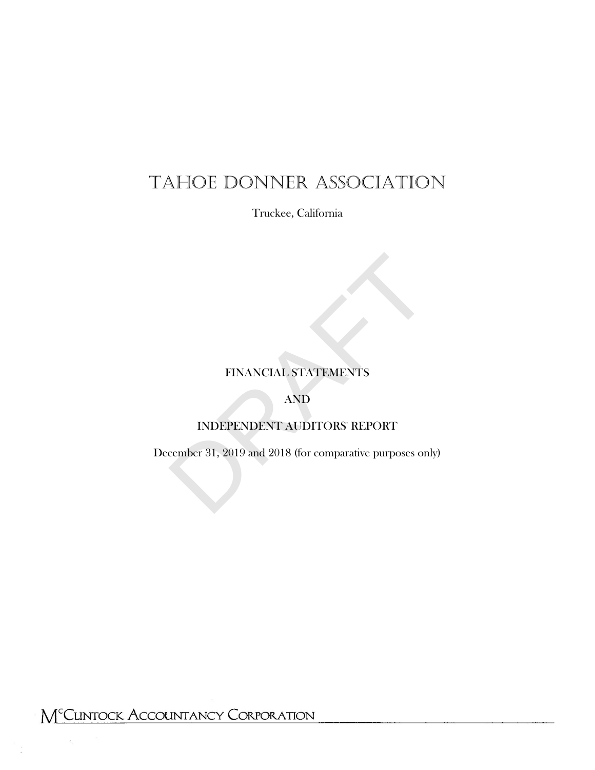Truckee, California

# FINANCIAL STATEMENTS

AND

# INDEPENDENT AUDITORS' REPORT

December 31, 2019 and 2018 (for comparative purposes only) FINANCIAL STATEMENTS<br>AND<br>INDEPENDENT AUDITORS REPORT<br>cember 31, 2019 and 2018 (for comparative purposes onl

M<sup>C</sup>CLINTOCK ACCOUNTANCY CORPORATION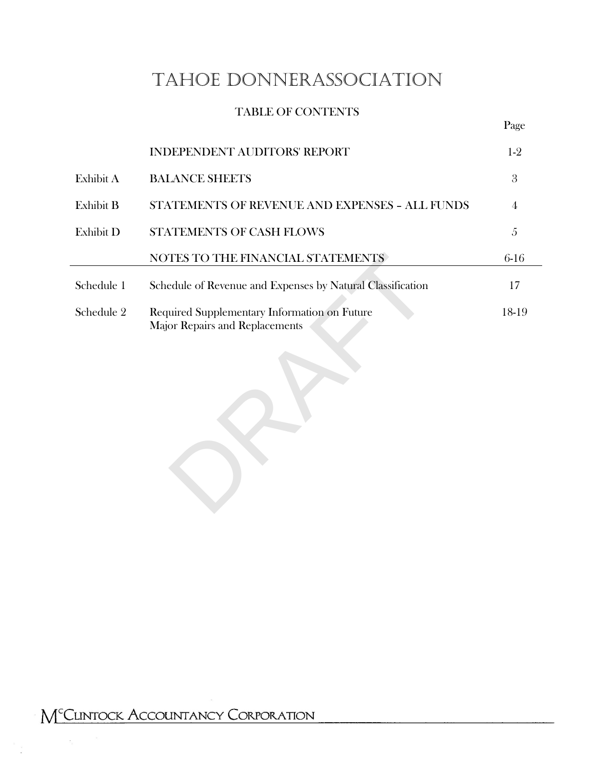# TABLE OF CONTENTS

Page

|                  | <b>INDEPENDENT AUDITORS' REPORT</b>                                            | $1-2$    |
|------------------|--------------------------------------------------------------------------------|----------|
| Exhibit A        | <b>BALANCE SHEETS</b>                                                          | 3        |
| <b>Exhibit B</b> | STATEMENTS OF REVENUE AND EXPENSES - ALL FUNDS                                 | 4        |
| Exhibit D        | STATEMENTS OF CASH FLOWS                                                       | 5        |
|                  | NOTES TO THE FINANCIAL STATEMENTS                                              | $6 - 16$ |
| Schedule 1       | Schedule of Revenue and Expenses by Natural Classification                     | 17       |
| Schedule 2       | Required Supplementary Information on Future<br>Major Repairs and Replacements | 18-19    |
|                  |                                                                                |          |



M<sup>C</sup>CLINTOCK ACCOUNTANCY CORPORATION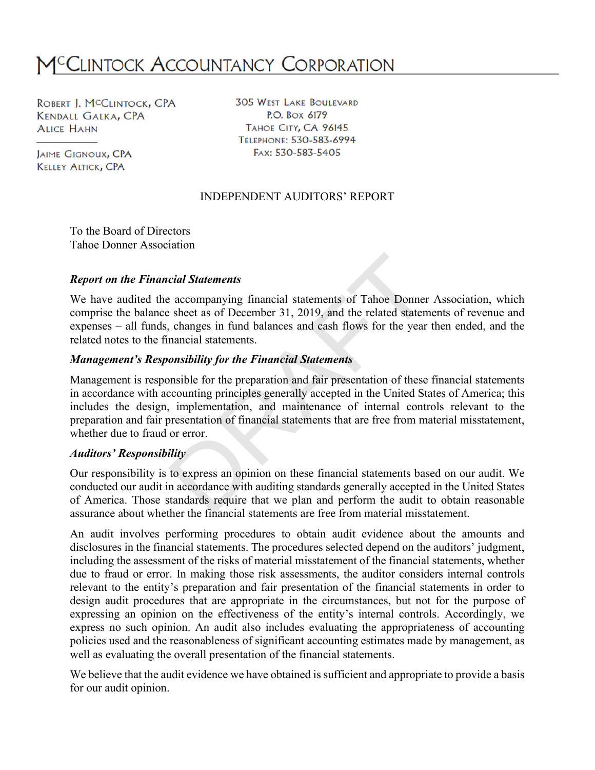# M<sup>C</sup>CLINTOCK ACCOUNTANCY CORPORATION

ROBERT J. MCCLINTOCK, CPA **KENDALL GALKA, CPA ALICE HAHN** 

JAIME GIGNOUX, CPA **KELLEY ALTICK, CPA** 

**305 WEST LAKE BOULEVARD** P.O. Box 6179 TAHOE CITY, CA 96145 TELEPHONE: 530-583-6994 FAX: 530-583-5405

#### INDEPENDENT AUDITORS' REPORT

To the Board of Directors Tahoe Donner Association

#### *Report on the Financial Statements*

We have audited the accompanying financial statements of Tahoe Donner Association, which comprise the balance sheet as of December 31, 2019, and the related statements of revenue and expenses – all funds, changes in fund balances and cash flows for the year then ended, and the related notes to the financial statements.

#### *Management's Responsibility for the Financial Statements*

Management is responsible for the preparation and fair presentation of these financial statements in accordance with accounting principles generally accepted in the United States of America; this includes the design, implementation, and maintenance of internal controls relevant to the preparation and fair presentation of financial statements that are free from material misstatement, whether due to fraud or error. incompanying financial statements of Tahoe Donner<br>
Exerce as of December 31, 2019, and the related statements,<br>
changes in fund balances and cash flows for the year<br>
inancial statements.<br> **Considering the Statements**<br> **Con** 

#### *Auditors' Responsibility*

Our responsibility is to express an opinion on these financial statements based on our audit. We conducted our audit in accordance with auditing standards generally accepted in the United States of America. Those standards require that we plan and perform the audit to obtain reasonable assurance about whether the financial statements are free from material misstatement.

An audit involves performing procedures to obtain audit evidence about the amounts and disclosures in the financial statements. The procedures selected depend on the auditors' judgment, including the assessment of the risks of material misstatement of the financial statements, whether due to fraud or error. In making those risk assessments, the auditor considers internal controls relevant to the entity's preparation and fair presentation of the financial statements in order to design audit procedures that are appropriate in the circumstances, but not for the purpose of expressing an opinion on the effectiveness of the entity's internal controls. Accordingly, we express no such opinion. An audit also includes evaluating the appropriateness of accounting policies used and the reasonableness of significant accounting estimates made by management, as well as evaluating the overall presentation of the financial statements.

We believe that the audit evidence we have obtained is sufficient and appropriate to provide a basis for our audit opinion.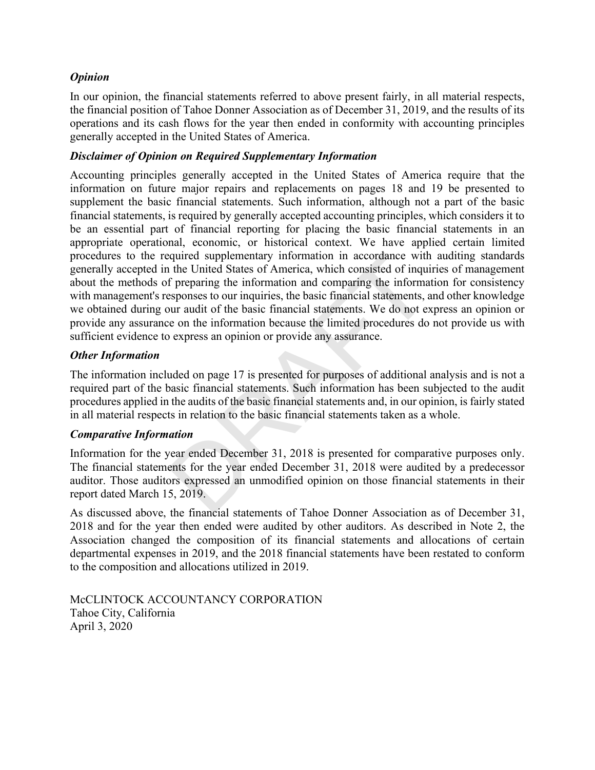# *Opinion*

In our opinion, the financial statements referred to above present fairly, in all material respects, the financial position of Tahoe Donner Association as of December 31, 2019, and the results of its operations and its cash flows for the year then ended in conformity with accounting principles generally accepted in the United States of America.

# *Disclaimer of Opinion on Required Supplementary Information*

Accounting principles generally accepted in the United States of America require that the information on future major repairs and replacements on pages 18 and 19 be presented to supplement the basic financial statements. Such information, although not a part of the basic financial statements, is required by generally accepted accounting principles, which considers it to be an essential part of financial reporting for placing the basic financial statements in an appropriate operational, economic, or historical context. We have applied certain limited procedures to the required supplementary information in accordance with auditing standards generally accepted in the United States of America, which consisted of inquiries of management about the methods of preparing the information and comparing the information for consistency with management's responses to our inquiries, the basic financial statements, and other knowledge we obtained during our audit of the basic financial statements. We do not express an opinion or provide any assurance on the information because the limited procedures do not provide us with sufficient evidence to express an opinion or provide any assurance. equired supplementary information in accordance with<br>the United States of America, which consisted of inqui<br>f preparing the information and comparing the informa<br>esponses to our inquiries, the basic financial statements, a

#### *Other Information*

The information included on page 17 is presented for purposes of additional analysis and is not a required part of the basic financial statements. Such information has been subjected to the audit procedures applied in the audits of the basic financial statements and, in our opinion, is fairly stated in all material respects in relation to the basic financial statements taken as a whole.

#### *Comparative Information*

Information for the year ended December 31, 2018 is presented for comparative purposes only. The financial statements for the year ended December 31, 2018 were audited by a predecessor auditor. Those auditors expressed an unmodified opinion on those financial statements in their report dated March 15, 2019.

As discussed above, the financial statements of Tahoe Donner Association as of December 31, 2018 and for the year then ended were audited by other auditors. As described in Note 2, the Association changed the composition of its financial statements and allocations of certain departmental expenses in 2019, and the 2018 financial statements have been restated to conform to the composition and allocations utilized in 2019.

McCLINTOCK ACCOUNTANCY CORPORATION Tahoe City, California April 3, 2020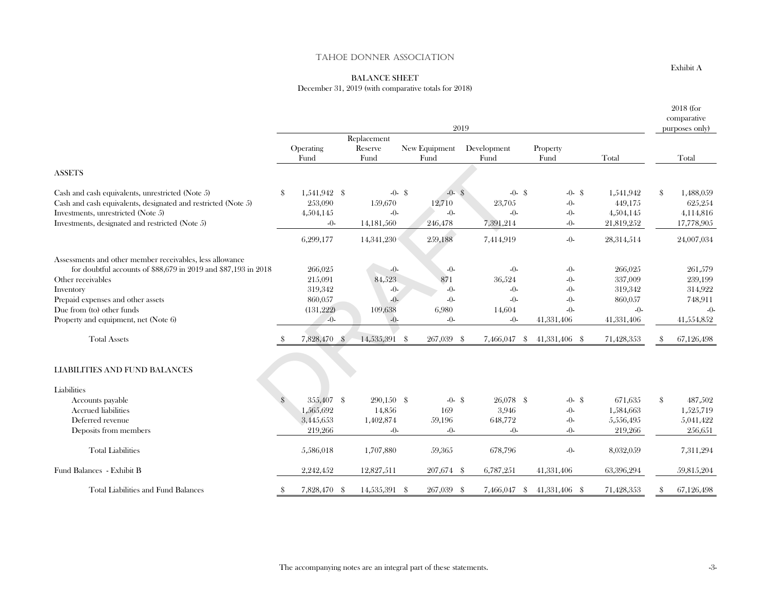# BALANCE SHEET

#### December 31, 2019 (with comparative totals for 2018)

|                                                                                                                                                                                                            | 2019 |                                                 |               |                                            |  |                                        |  |                                          |  |                                       |                                                 |     | 2018 (for<br>comparative<br>purposes only)      |
|------------------------------------------------------------------------------------------------------------------------------------------------------------------------------------------------------------|------|-------------------------------------------------|---------------|--------------------------------------------|--|----------------------------------------|--|------------------------------------------|--|---------------------------------------|-------------------------------------------------|-----|-------------------------------------------------|
|                                                                                                                                                                                                            |      |                                                 |               | Replacement                                |  |                                        |  |                                          |  |                                       |                                                 |     |                                                 |
|                                                                                                                                                                                                            |      | Operating<br>Fund                               |               | Reserve<br>Fund                            |  | New Equipment<br>Fund                  |  | Development<br>Fund                      |  | Property<br>Fund                      | Total                                           |     | Total                                           |
| <b>ASSETS</b>                                                                                                                                                                                              |      |                                                 |               |                                            |  |                                        |  |                                          |  |                                       |                                                 |     |                                                 |
| Cash and cash equivalents, unrestricted (Note 5)<br>Cash and cash equivalents, designated and restricted (Note 5)<br>Investments, unrestricted (Note 5)<br>Investments, designated and restricted (Note 5) | \$   | 1,541,942 \$<br>253,090<br>4,504,145<br>$-0-$   |               | $-0-$ \$<br>159,670<br>$-0-$<br>14,181,560 |  | $-0-$ \$<br>12,710<br>$-0-$<br>246,478 |  | $-0 - $$<br>23,705<br>$-()$<br>7,391,214 |  | $-0 - 8$<br>$-0-$<br>$-0-$<br>$-()$ - | 1,541,942<br>449,175<br>4,504,145<br>21,819,252 | \$  | 1,488,059<br>625,254<br>4,114,816<br>17,778,905 |
|                                                                                                                                                                                                            |      | 6,299,177                                       |               | 14,341,230                                 |  | 259,188                                |  | 7,414,919                                |  | $-0-$                                 | 28,314,514                                      |     | 24,007,034                                      |
| Assessments and other member receivables, less allowance<br>for doubtful accounts of \$88,679 in 2019 and \$87,193 in 2018<br>Other receivables                                                            |      | 266,025<br>215,091                              |               | $-()$ -<br>84,523                          |  | $-()$<br>871                           |  | $-()$<br>36,524                          |  | $-0-$<br>$-0-$                        | 266,025<br>337,009                              |     | 261,579<br>239,199                              |
| Inventory<br>Prepaid expenses and other assets<br>Due from (to) other funds                                                                                                                                |      | 319,342<br>860,057<br>(131, 222)                |               | $-0-$<br>$-()$<br>109,638                  |  | $-()$<br>$-()$ -<br>6,980              |  | $-()$<br>$-()$<br>14,604                 |  | $-0-$<br>$-0-$<br>$-0-$               | 319,342<br>860,057<br>$-0-$                     |     | 314,922<br>748,911<br>$-0-$                     |
| Property and equipment, net (Note 6)                                                                                                                                                                       |      | $-0-$                                           |               | $-0-$                                      |  | $-0-$                                  |  | $-0-$                                    |  | 41,331,406                            | 41,331,406                                      |     | 41,554,852                                      |
| <b>Total Assets</b>                                                                                                                                                                                        |      | 7,828,470                                       | <sup>\$</sup> | 14,535,391 \$                              |  | 267,039<br>- \$                        |  | 7.466.047<br><sup>\$</sup>               |  | 41,331,406 \$                         | 71,428,353                                      | \$  | 67,126,498                                      |
| <b>LIABILITIES AND FUND BALANCES</b>                                                                                                                                                                       |      |                                                 |               |                                            |  |                                        |  |                                          |  |                                       |                                                 |     |                                                 |
| Liabilities                                                                                                                                                                                                |      |                                                 |               |                                            |  |                                        |  |                                          |  |                                       |                                                 |     |                                                 |
| Accounts payable<br><b>Accrued</b> liabilities<br>Deferred revenue<br>Deposits from members                                                                                                                |      | 355,407 \$<br>1,565,692<br>3,445,653<br>219,266 |               | 290,150 \$<br>14,856<br>1,402,874<br>$-0-$ |  | $-0 - 3$<br>169<br>59,196<br>$-()$     |  | 26,078 \$<br>3,946<br>648,772<br>$-()$   |  | $-0 - 8$<br>$-0-$<br>$-0-$<br>$-()$ - | 671,635<br>1,584,663<br>5,556,495<br>219,266    | \$  | 487,502<br>1,525,719<br>5,041,422<br>256,651    |
| <b>Total Liabilities</b>                                                                                                                                                                                   |      | 5,586,018                                       |               | 1,707,880                                  |  | 59,365                                 |  | 678,796                                  |  | $-0-$                                 | 8,032,059                                       |     | 7,311,294                                       |
| Fund Balances - Exhibit B                                                                                                                                                                                  |      | 2,242,452                                       |               | 12,827,511                                 |  | 207,674 \$                             |  | 6,787,251                                |  | 41,331,406                            | 63,396,294                                      |     | 59,815,204                                      |
| <b>Total Liabilities and Fund Balances</b>                                                                                                                                                                 | -S   | 7,828,470 \$                                    |               | 14,535,391 \$                              |  | 267,039 \$                             |  | 7,466,047<br>-S                          |  | 41,331,406 \$                         | 71,428,353                                      | \$. | 67,126,498                                      |

Exhibit A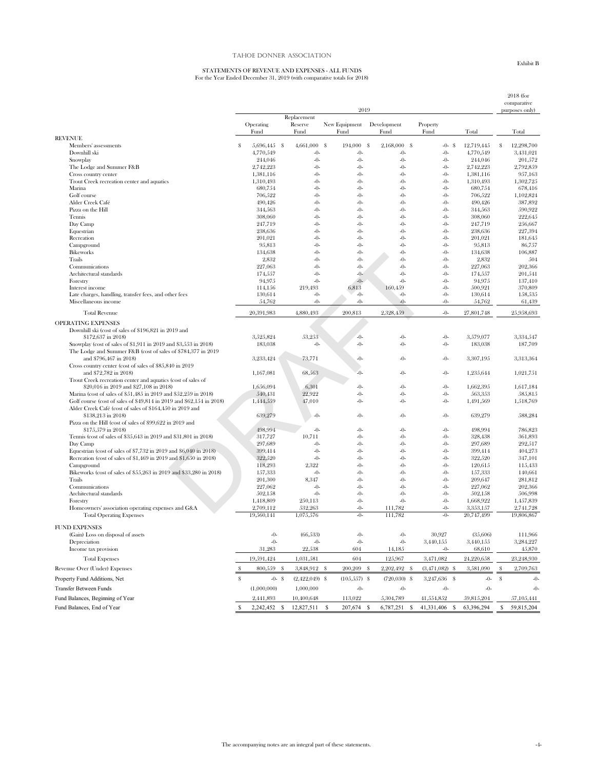## STATEMENTS OF REVENUE AND EXPENSES - ALL FUNDS For the Year Ended December 31, 2019 (with comparative totals for 2018)

|                                                                                                                                        |                    |                      |                                | 2019                  |                       |                  |          |                      |    | 2018 (for<br>comparative<br>purposes only) |
|----------------------------------------------------------------------------------------------------------------------------------------|--------------------|----------------------|--------------------------------|-----------------------|-----------------------|------------------|----------|----------------------|----|--------------------------------------------|
|                                                                                                                                        |                    | Operating<br>Fund    | Replacement<br>Reserve<br>Fund | New Equipment<br>Fund | Development<br>Fund   | Property<br>Fund |          | Total                |    | Total                                      |
| <b>REVENUE</b>                                                                                                                         |                    |                      |                                |                       |                       |                  |          |                      |    |                                            |
| Members' assessments                                                                                                                   | $\mathbf{\hat{s}}$ | 5,696,445 \$         | 4,661,000 \$                   | 194,000 \$            | 2.168,000 \$          |                  | $-0 - S$ | 12,719,445           | \$ | 12,298,700                                 |
| Downhill ski                                                                                                                           |                    | 4,770,549<br>244,046 | $-0-$<br>$-0-$                 | $-()$<br>$-0-$        | $-0-$<br>$-0-$        | $-0-$<br>$-0-$   |          | 4,770,549<br>244,046 |    | 3,431,021<br>201,572                       |
| Snowplay<br>The Lodge and Summer F&B                                                                                                   |                    | 2,742,223            | $-0-$                          | $-0-$                 | $-0-$                 | $-0-$            |          | 2,742,223            |    | 2,792,859                                  |
| Cross country center                                                                                                                   |                    | 1,381,116            | $-0-$                          | $-0-$                 | $-0-$                 | $-0-$            |          | 1,381,116            |    | 957,163                                    |
| Trout Creek recreation center and aquatics                                                                                             |                    | 1,310,493            | $-0-$                          | $-0-$                 | $-0-$                 | $-0-$            |          | 1,310,493            |    | 1,302,725                                  |
| Marina                                                                                                                                 |                    | 680,754              | $-0-$                          | $-0-$                 | $-0-$                 | $-0-$            |          | 680,754              |    | 678,416                                    |
| Golf course                                                                                                                            |                    | 706,522              | $-0-$                          | $-0-$                 | $-0-$                 | $-0-$            |          | 706,522              |    | 1,102,824                                  |
| Alder Creek Café                                                                                                                       |                    | 490,426              | $-()$                          | $-0-$                 | $-0-$                 | $-0-$            |          | 490,426              |    | 387,892                                    |
| Pizza on the Hill                                                                                                                      |                    | 344,563              | $-()$                          | $-0-$                 | $-0-$                 | $-0-$            |          | 344,563              |    | 590,922                                    |
| Tennis                                                                                                                                 |                    | 308,060              | $-()$ -                        | $-()$                 | $-0-$                 | $-0-$            |          | 308,060              |    | 222,645                                    |
| Day Camp                                                                                                                               |                    | 247,719<br>238,636   | $-()$ -<br>$-()$ -             | $-0-$<br>$-0-$        | $-0-$<br>$-0-$        | $-0-$<br>$-0-$   |          | 247,719<br>238,636   |    | 256,667                                    |
| Equestrian<br>Recreation                                                                                                               |                    | 201,021              | $-0-$                          | $-0-$                 | $-0-$                 | $-0-$            |          | 201,021              |    | 227,394<br>181,645                         |
| Campground                                                                                                                             |                    | 95,813               | $-0-$                          | $-0-$                 | $-0-$                 | $-0-$            |          | 95,813               |    | 86,757                                     |
| <b>Bikeworks</b>                                                                                                                       |                    | 134,638              | $-0-$                          | $-0-$                 | $-0-$                 | $-0-$            |          | 134,638              |    | 106,887                                    |
| Trails                                                                                                                                 |                    | 2,832                | $-0-$                          | $-()$                 | $-0-$                 | $-0-$            |          | 2,832                |    | 504                                        |
| Communications                                                                                                                         |                    | 227,063              | $-()$ -                        | $-0-$                 | $-0-$                 | $-0-$            |          | 227,063              |    | 202,366                                    |
| Architectural standards                                                                                                                |                    | 174,557              | $-()$ -                        | $-0-$                 | $-0-$                 | $-0-$            |          | 174,557              |    | 201,541                                    |
| Forestry                                                                                                                               |                    | 94,975               | $-()$ -                        | $-0-$                 | $-0-$                 | $-0-$            |          | 94,975               |    | 137,410                                    |
| Interest income                                                                                                                        |                    | 114.156              | 219,493                        | 6,813                 | 160,459               | $-0-$            |          | 500,921              |    | 370,809                                    |
| Late charges, handling, transfer fees, and other fees                                                                                  |                    | 130,614              | $-()$                          | $-0-$                 | $-()$                 | $-0-$            |          | 130,614              |    | 158,535                                    |
| Miscellaneous income                                                                                                                   |                    | 54,762               | $-0$                           | $-()$                 | $-0-$                 | $-0-$            |          | 54,762               |    | 61,439                                     |
| <b>Total Revenue</b>                                                                                                                   |                    | 20,391,983           | 4.880.493                      | 200,813               | 2,328,459             | $-0-$            |          | 27,801,748           |    | 25,958,693                                 |
| <b>OPERATING EXPENSES</b>                                                                                                              |                    |                      |                                |                       |                       |                  |          |                      |    |                                            |
| Downhill ski (cost of sales of \$196,821 in 2019 and<br>\$172,637 in 2018)                                                             |                    | 3,525,824            |                                | $-0-$                 | $-0-$                 | $-0-$            |          | 3,579,077            |    | 3,334,547                                  |
| Snowplay (cost of sales of \$1,911 in 2019 and \$3,553 in 2018)                                                                        |                    | 183,038              | 53,253<br>$-0-$                | $-()$                 | $-0-$                 | $-0-$            |          | 183,038              |    | 187,709                                    |
| The Lodge and Summer F&B (cost of sales of \$784,377 in 2019                                                                           |                    |                      |                                |                       |                       |                  |          |                      |    |                                            |
| and \$796,467 in 2018)                                                                                                                 |                    | 3,233,424            | 73,771                         | $-0-$                 | $-()$                 | $-0-$            |          | 3,307,195            |    | 3,313,364                                  |
| Cross country center (cost of sales of \$85,840 in 2019                                                                                |                    |                      |                                |                       |                       |                  |          |                      |    |                                            |
| and \$72,782 in 2018)                                                                                                                  |                    | 1,167,081            | 68,563                         | $-()$                 | $-0-$                 | $-0-$            |          | 1,235,644            |    | 1,021,751                                  |
| Trout Creek recreation center and aquatics (cost of sales of                                                                           |                    |                      |                                |                       |                       |                  |          |                      |    |                                            |
| \$20,016 in 2019 and \$27,108 in 2018)                                                                                                 |                    | 1,656,094            | 6,301                          | $-()$                 | $-0-$                 | $-0-$            |          | 1,662,395            |    | 1,617,184                                  |
| Marina (cost of sales of \$51,485 in 2019 and \$52,259 in 2018)                                                                        |                    | 540,431              | 22,922                         | $-0-$                 | $-0-$                 | $-0-$            |          | 563,353              |    | 585,815                                    |
| Golf course (cost of sales of \$49,814 in 2019 and \$62,154 in 2018)                                                                   |                    | 1,444,559            | 47,010                         | $-0-$                 | $-0-$                 | $-0-$            |          | 1,491,569            |    | 1,518,769                                  |
| Alder Creek Café (cost of sales of \$164,450 in 2019 and<br>\$138,213 in 2018)                                                         |                    | 639,279              | $-0$                           | $-()$                 | $-()$                 | $-0-$            |          | 639,279              |    | 588,284                                    |
| Pizza on the Hill (cost of sales of \$99,622 in 2019 and                                                                               |                    |                      |                                |                       |                       |                  |          |                      |    |                                            |
| \$175,579 in 2018)                                                                                                                     |                    | 498,994              | $-()$ -                        | $-0-$                 | $-0-$                 | $-0-$            |          | 498,994              |    | 786,823                                    |
| Tennis (cost of sales of \$35,643 in 2019 and \$31,801 in 2018)                                                                        |                    | 317,727              | 10,711                         | $-0-$                 | $-0-$                 | $-0-$            |          | 328,438              |    | 361,893                                    |
| Day Camp                                                                                                                               |                    | 297,689              | $-0-$                          | $-0-$                 | $-0-$                 | $-0-$            |          | 297,689              |    | 292,517                                    |
| Equestrian (cost of sales of \$7,732 in 2019 and \$6,040 in 2018)<br>Recreation (cost of sales of \$1,469 in 2019 and \$1,650 in 2018) |                    | 399,414<br>322,520   | $-()$ -<br>$-0-$               | $-0-$<br>$-0-$        | $-0-$<br>$-0-$        | $-0-$<br>$-0-$   |          | 399,414<br>322,520   |    | 404,273<br>347,101                         |
| Campground                                                                                                                             |                    | 118,293              | 2,322                          | $-0-$                 | $-0-$                 | $-0-$            |          | 120,615              |    | 115,433                                    |
| Bikeworks (cost of sales of \$55,263 in 2019 and \$33,280 in 2018)                                                                     |                    | 157,333              | $-0-$                          | $-()$                 | $-0-$                 | $-0-$            |          | 157,333              |    | 140,661                                    |
| Trails                                                                                                                                 |                    | 201,300              | 8,347                          | $-0-$                 | $-0-$                 | $-0-$            |          | 209,647              |    | 281,812                                    |
| Communications                                                                                                                         |                    | 227,062              | $-()$ -                        | $-()$                 | $-0-$                 | $-0-$            |          | 227,062              |    | 202,366                                    |
| Architectural standards                                                                                                                |                    | 502,158              | $-()$ -                        | $-0-$                 | $-0-$                 | $-0-$            |          | 502,158              |    | 506,998                                    |
| Forestry                                                                                                                               |                    | 1.418.809            | 250,113                        | $-0-$                 | $-0-$                 | $-()$ -          |          | 1,668,922            |    | 1,457,839                                  |
| Homeowners' association operating expenses and G&A                                                                                     |                    | 2,709,112            | 532,263                        | $-()$                 | 111,782               | $-0-$            |          | 3,353,157            |    | 2,741,728                                  |
| <b>Total Operating Expenses</b>                                                                                                        |                    | 19,560,141           | 1,075,576                      | $-0-$                 | 111.782               | $-()$ -          |          | 20,747,499           |    | 19,806,867                                 |
| <b>FUND EXPENSES</b>                                                                                                                   |                    |                      |                                |                       |                       |                  |          |                      |    |                                            |
| (Gain) Loss on disposal of assets                                                                                                      |                    | $-()$ -              | (66, 533)                      | $-()$                 | -0-                   | 30,927           |          | (35,606)             |    | 111,966                                    |
| Depreciation                                                                                                                           |                    | $-()$ -              | $-0-$                          | $-0-$                 | $-()$                 | 3,440,155        |          | 3,440,155            |    | 3,284,227                                  |
| Income tax provision                                                                                                                   |                    | 31,283               | 22,538                         | 604                   | 14,185                | $-0-$            |          | 68,610               |    | 45,870                                     |
| <b>Total Expenses</b>                                                                                                                  |                    | 19,591,424           | 1,031,581                      | 604                   | 125,967               | 3,471,082        |          | 24,220,658           |    | 23,248,930                                 |
| Revenue Over (Under) Expenses                                                                                                          |                    | 800,559<br>\$        | 3,848,912 \$                   | 200,209               | \$<br>2,202,492<br>\$ | $(3,471,082)$ \$ |          | 3,581,090            |    | 2,709,763                                  |
| Property Fund Additions, Net                                                                                                           | \$                 | $-0 - $$             | $(2,422,049)$ \$               | $(105, 557)$ \$       | $(720,030)$ \$        | 3,247,636 \$     |          | $-()$ -              | \$ | $-()$ -                                    |
| <b>Transfer Between Funds</b>                                                                                                          |                    | (1,000,000)          | 1,000,000                      | $-0-$                 | $-0-$                 | $-()$ -          |          | $-()$ -              |    | $-0$                                       |
| Fund Balances, Beginning of Year                                                                                                       |                    | 2,441,893            | 10,400,648                     | 113,022               | 5,304,789             | 41,554,852       |          | 59,815,204           |    | 57,105,441                                 |
| Fund Balances, End of Year                                                                                                             |                    | 2,242,452 \$         | 12,827,511 \$                  | 207,674 \$            |                       | 41,331,406 \$    |          | 63,396,294           |    | 59,815,204                                 |
|                                                                                                                                        | S                  |                      |                                |                       | 6,787,251 \$          |                  |          |                      | S  |                                            |

Exhibit B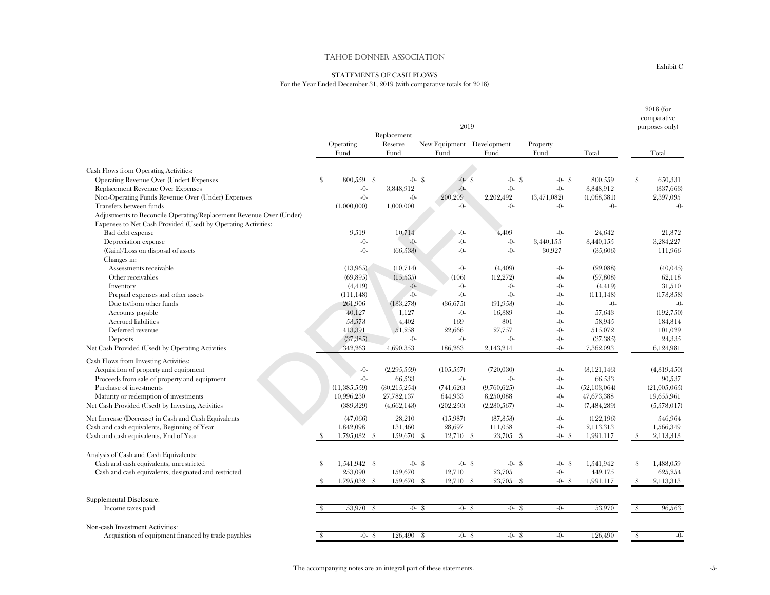#### STATEMENTS OF CASH FLOWS

#### For the Year Ended December 31, 2019 (with comparative totals for 2018)

|                                                                     |                    |                |      |                        |     | 2019       |                                 |             |                |               | 2018 (for<br>comparative |
|---------------------------------------------------------------------|--------------------|----------------|------|------------------------|-----|------------|---------------------------------|-------------|----------------|---------------|--------------------------|
|                                                                     |                    | Operating      |      | Replacement<br>Reserve |     |            | New Equipment Development       | Property    |                |               | purposes only)           |
|                                                                     |                    | Fund           |      | Fund                   |     | Fund       | Fund                            | Fund        | Total          |               | Total                    |
| Cash Flows from Operating Activities:                               |                    |                |      |                        |     |            |                                 |             |                |               |                          |
| <b>Operating Revenue Over (Under) Expenses</b>                      | \$                 | 800,559 \$     |      | $-0 - 8$               |     | $-0 - 8$   | $-0 - 8$                        | $-0 - S$    | 800,559        | \$            | 650,331                  |
| <b>Replacement Revenue Over Expenses</b>                            |                    | $-()$ -        |      | 3,848,912              |     | $-()$      | $-0-$                           | $-0-$       | 3,848,912      |               | (337,663)                |
| Non-Operating Funds Revenue Over (Under) Expenses                   |                    | $-()$ -        |      | $-0-$                  |     | 200,209    | 2,202,492                       | (3,471,082) | (1,068,381)    |               | 2,397,095                |
| Transfers between funds                                             |                    | (1,000,000)    |      | 1,000,000              |     | $-()$      | $-0-$                           | $-()$ -     | $-()$ -        |               | $-0-$                    |
| Adjustments to Reconcile Operating/Replacement Revenue Over (Under) |                    |                |      |                        |     |            |                                 |             |                |               |                          |
| Expenses to Net Cash Provided (Used) by Operating Activities:       |                    |                |      |                        |     |            |                                 |             |                |               |                          |
| Bad debt expense                                                    |                    | 9,519          |      | 10,714                 |     | $-0-$      | 4.409                           | $-()$ -     | 24,642         |               | 21,872                   |
| Depreciation expense                                                |                    | $-()$ -        |      | $-()$                  |     | $-0-$      | $-0-$                           | 3.440.155   | 3.440.155      |               | 3.284.227                |
| (Gain)/Loss on disposal of assets                                   |                    | $-0-$          |      | (66, 533)              |     | $-()$ -    | $-0-$                           | 30,927      | (35,606)       |               | 111,966                  |
| Changes in:                                                         |                    |                |      |                        |     |            |                                 |             |                |               |                          |
| Assessments receivable                                              |                    | (13,965)       |      | (10,714)               |     | $-0-$      | (4,409)                         | $-0-$       | (29,088)       |               | (40, 045)                |
| Other receivables                                                   |                    | (69, 895)      |      | (15, 535)              |     | (106)      | (12, 272)                       | $-0-$       | (97, 808)      |               | 62,118                   |
| Inventory                                                           |                    | (4, 419)       |      | $-0-$                  |     | $-0-$      | $-0-$                           | $-()$ -     | (4, 419)       |               | 31,510                   |
| Prepaid expenses and other assets                                   |                    | (111, 148)     |      | $-0-$                  |     | $-()$ -    | $-0-$                           | $-0-$       | (111, 148)     |               | (173, 858)               |
| Due to/from other funds                                             |                    | 261,906        |      | (133, 278)             |     | (36,675)   | (91, 953)                       | $-()$ -     | $-()$ -        |               | $-()$ -                  |
| Accounts payable                                                    |                    | 40,127         |      | 1,127                  |     | $-()$ -    | 16,389                          | $-()$ -     | 57,643         |               | (192,750)                |
| <b>Accrued</b> liabilities                                          |                    | 53,573         |      | 4,402                  |     | 169        | 801                             | $-()$ -     | 58,945         |               | 184,814                  |
| Deferred revenue                                                    |                    | 413,391        |      | 51,258                 |     | 22,666     | 27,757                          | $-0-$       | 515,072        |               | 101,029                  |
| Deposits                                                            |                    | (37, 385)      |      | $-()$                  |     | $-()$      | $-0-$                           | $-()$ -     | (37, 385)      |               | 24,335                   |
| Net Cash Provided (Used) by Operating Activities                    |                    | 342,263        |      | 4,690,353              |     | 186,263    | 2,143,214                       | $-()$       | 7,362,093      |               | 6,124,981                |
| Cash Flows from Investing Activities:                               |                    |                |      |                        |     |            |                                 |             |                |               |                          |
| Acquisition of property and equipment                               |                    | $-()$ -        |      | (2,295,559)            |     | (105, 557) | (720,030)                       | $-0-$       | (3,121,146)    |               | (4,319,450)              |
| Proceeds from sale of property and equipment                        |                    | $-()$          |      | 66,533                 |     | $-()$ -    | $-()$                           | $-0-$       | 66,533         |               | 90,537                   |
| Purchase of investments                                             |                    | (11, 385, 559) |      | (30, 215, 254)         |     | (741, 626) | (9,760,625)                     | $-0-$       | (52, 103, 064) |               | (21,005,065)             |
| Maturity or redemption of investments                               |                    | 10,996,230     |      | 27,782,137             |     | 644,933    | 8,250,088                       | $-0-$       | 47,673,388     |               | 19,655,961               |
| Net Cash Provided (Used) by Investing Activities                    |                    | (389, 329)     |      | (4,662,143)            |     | (202, 250) | (2, 230, 567)                   | $-()$ -     | (7,484,289)    |               | (5,578,017)              |
| Net Increase (Decrease) in Cash and Cash Equivalents                |                    | (47,066)       |      | 28,210                 |     | (15,987)   | (87, 353)                       | $-0-$       | (122, 196)     |               | 546,964                  |
| Cash and cash equivalents, Beginning of Year                        |                    | 1,842,098      |      | 131,460                |     | 28,697     | 111,058                         | $-0-$       | 2,113,313      |               | 1,566,349                |
| Cash and cash equivalents, End of Year                              | -\$                | 1,795,032      | -8   | 159,670                | -\$ | 12,710     | - \$<br>23,705 \$               | $-0 - 8$    | 1,991,117      | -\$           | 2,113,313                |
|                                                                     |                    |                |      |                        |     |            |                                 |             |                |               |                          |
| Analysis of Cash and Cash Equivalents:                              |                    |                |      |                        |     |            |                                 |             |                |               |                          |
| Cash and cash equivalents, unrestricted                             | \$                 | 1,541,942 \$   |      | $-0 - 8$               |     | $-0-$ \$   | $-0 - 8$                        | $-0 - $$    | 1,541,942      | \$            | 1,488,059                |
| Cash and cash equivalents, designated and restricted                |                    | 253,090        |      | 159,670                |     | 12,710     | 23,705                          | $-0-$       | 449,175        |               | 625,254                  |
|                                                                     | $\mathcal{S}$      | 1,795,032      | -\$  | 159,670                | -\$ | 12,710     | $\mathbf{\hat{s}}$<br>23,705 \$ | $-0 - 8$    | 1.991.117      | \$            | 2,113,313                |
| Supplemental Disclosure:                                            |                    |                |      |                        |     |            |                                 |             |                |               |                          |
| Income taxes paid                                                   | $\mathbf{\hat{s}}$ | 53,970         | - \$ | $-0 - 8$               |     | $-0-$ \$   | $-0-$ \$                        | $-()$       | 53,970         | \$            | 96,563                   |
|                                                                     |                    |                |      |                        |     |            |                                 |             |                |               |                          |
| Non-cash Investment Activities:                                     |                    |                |      |                        |     |            |                                 |             |                |               |                          |
| Acquisition of equipment financed by trade payables                 | -\$                | $-0 - 8$       |      | 126,490 \$             |     | $-0 - 8$   | $-0 - S$                        | $-()$ -     | 126.490        | $\mathbf{\$}$ | $-0-$                    |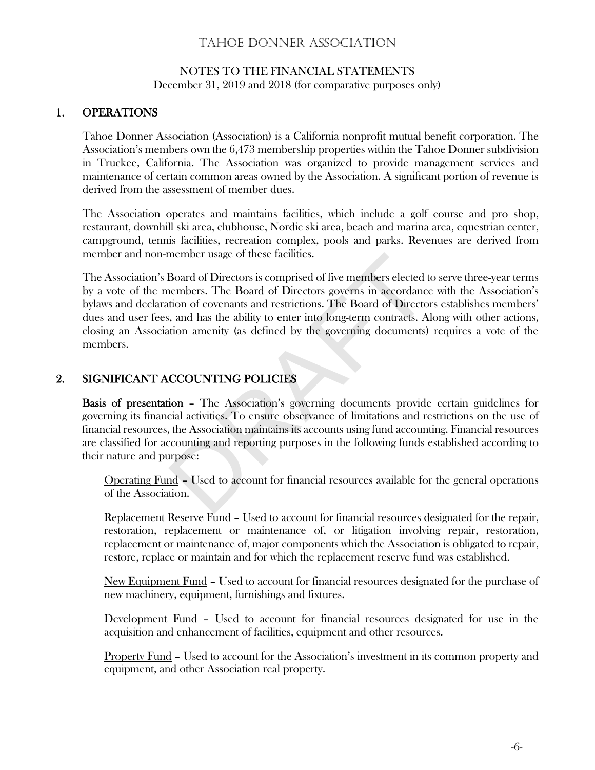## NOTES TO THE FINANCIAL STATEMENTS December 31, 2019 and 2018 (for comparative purposes only)

# 1. OPERATIONS

Tahoe Donner Association (Association) is a California nonprofit mutual benefit corporation. The Association's members own the 6,473 membership properties within the Tahoe Donner subdivision in Truckee, California. The Association was organized to provide management services and maintenance of certain common areas owned by the Association. A significant portion of revenue is derived from the assessment of member dues.

The Association operates and maintains facilities, which include a golf course and pro shop, restaurant, downhill ski area, clubhouse, Nordic ski area, beach and marina area, equestrian center, campground, tennis facilities, recreation complex, pools and parks. Revenues are derived from member and non-member usage of these facilities.

The Association's Board of Directors is comprised of five members elected to serve three-year terms by a vote of the members. The Board of Directors governs in accordance with the Association's bylaws and declaration of covenants and restrictions. The Board of Directors establishes members' dues and user fees, and has the ability to enter into long-term contracts. Along with other actions, closing an Association amenity (as defined by the governing documents) requires a vote of the members. member usage of these facilities.<br>
Board of Directors is comprised of five members elected the<br>
nembers. The Board of Directors governs in accordance<br>
turn of covenants and restrictions. The Board of Directors<br>
s, and has

# 2. SIGNIFICANT ACCOUNTING POLICIES

Basis of presentation – The Association's governing documents provide certain guidelines for governing its financial activities. To ensure observance of limitations and restrictions on the use of financial resources, the Association maintains its accounts using fund accounting. Financial resources are classified for accounting and reporting purposes in the following funds established according to their nature and purpose:

Operating Fund – Used to account for financial resources available for the general operations of the Association.

Replacement Reserve Fund – Used to account for financial resources designated for the repair, restoration, replacement or maintenance of, or litigation involving repair, restoration, replacement or maintenance of, major components which the Association is obligated to repair, restore, replace or maintain and for which the replacement reserve fund was established.

New Equipment Fund – Used to account for financial resources designated for the purchase of new machinery, equipment, furnishings and fixtures.

Development Fund – Used to account for financial resources designated for use in the acquisition and enhancement of facilities, equipment and other resources.

Property Fund – Used to account for the Association's investment in its common property and equipment, and other Association real property.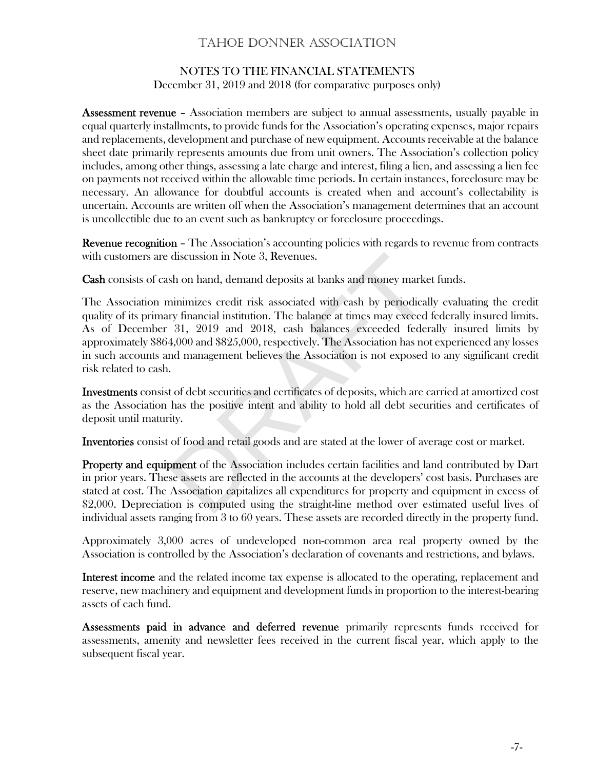## NOTES TO THE FINANCIAL STATEMENTS December 31, 2019 and 2018 (for comparative purposes only)

Assessment revenue – Association members are subject to annual assessments, usually payable in equal quarterly installments, to provide funds for the Association's operating expenses, major repairs and replacements, development and purchase of new equipment. Accounts receivable at the balance sheet date primarily represents amounts due from unit owners. The Association's collection policy includes, among other things, assessing a late charge and interest, filing a lien, and assessing a lien fee on payments not received within the allowable time periods. In certain instances, foreclosure may be necessary. An allowance for doubtful accounts is created when and account's collectability is uncertain. Accounts are written off when the Association's management determines that an account is uncollectible due to an event such as bankruptcy or foreclosure proceedings.

Revenue recognition – The Association's accounting policies with regards to revenue from contracts with customers are discussion in Note 3, Revenues.

Cash consists of cash on hand, demand deposits at banks and money market funds.

The Association minimizes credit risk associated with cash by periodically evaluating the credit quality of its primary financial institution. The balance at times may exceed federally insured limits. As of December 31, 2019 and 2018, cash balances exceeded federally insured limits by approximately \$864,000 and \$825,000, respectively. The Association has not experienced any losses in such accounts and management believes the Association is not exposed to any significant credit risk related to cash. discussion in Note 3, Revenues.<br>
Sh on hand, demand deposits at banks and money marke<br>
ninimizes credit risk associated with cash by periodical<br>
ury financial institution. The balance at times may exceed<br>
31, 2019 and 2018

Investments consist of debt securities and certificates of deposits, which are carried at amortized cost as the Association has the positive intent and ability to hold all debt securities and certificates of deposit until maturity.

Inventories consist of food and retail goods and are stated at the lower of average cost or market.

Property and equipment of the Association includes certain facilities and land contributed by Dart in prior years. These assets are reflected in the accounts at the developers' cost basis. Purchases are stated at cost. The Association capitalizes all expenditures for property and equipment in excess of \$2,000. Depreciation is computed using the straight-line method over estimated useful lives of individual assets ranging from 3 to 60 years. These assets are recorded directly in the property fund.

Approximately 3,000 acres of undeveloped non-common area real property owned by the Association is controlled by the Association's declaration of covenants and restrictions, and bylaws.

Interest income and the related income tax expense is allocated to the operating, replacement and reserve, new machinery and equipment and development funds in proportion to the interest-bearing assets of each fund.

Assessments paid in advance and deferred revenue primarily represents funds received for assessments, amenity and newsletter fees received in the current fiscal year, which apply to the subsequent fiscal year.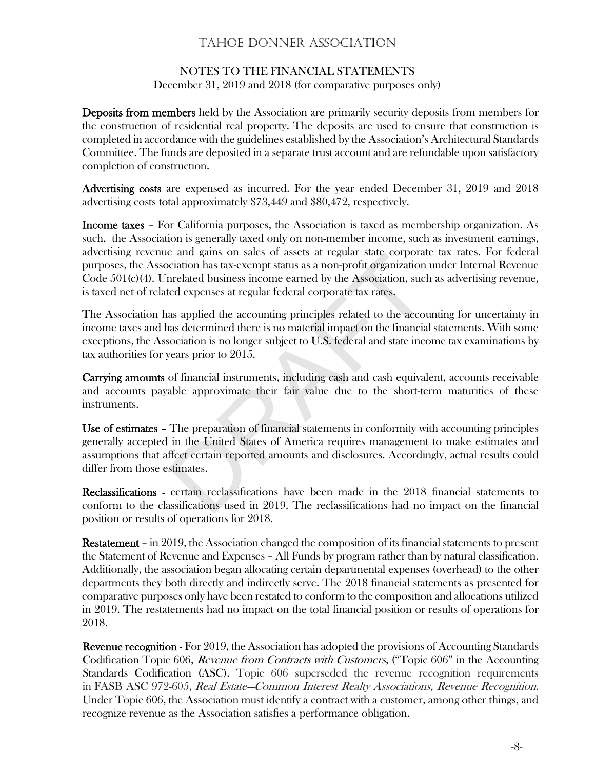## NOTES TO THE FINANCIAL STATEMENTS December 31, 2019 and 2018 (for comparative purposes only)

Deposits from members held by the Association are primarily security deposits from members for the construction of residential real property. The deposits are used to ensure that construction is completed in accordance with the guidelines established by the Association's Architectural Standards Committee. The funds are deposited in a separate trust account and are refundable upon satisfactory completion of construction.

Advertising costs are expensed as incurred. For the year ended December 31, 2019 and 2018 advertising costs total approximately \$73,449 and \$80,472, respectively.

Income taxes – For California purposes, the Association is taxed as membership organization. As such, the Association is generally taxed only on non-member income, such as investment earnings, advertising revenue and gains on sales of assets at regular state corporate tax rates. For federal purposes, the Association has tax-exempt status as a non-profit organization under Internal Revenue Code 501(c)(4). Unrelated business income earned by the Association, such as advertising revenue, is taxed net of related expenses at regular federal corporate tax rates.

The Association has applied the accounting principles related to the accounting for uncertainty in income taxes and has determined there is no material impact on the financial statements. With some exceptions, the Association is no longer subject to U.S. federal and state income tax examinations by tax authorities for years prior to 2015. e and gams on sales of assets at regular state corporate ciation has tax-exempt status as a non-profit organization in<br>the deventures income earned by the Association, such<br>ted expenses at regular federal corporate tax rat

Carrying amounts of financial instruments, including cash and cash equivalent, accounts receivable and accounts payable approximate their fair value due to the short-term maturities of these instruments.

Use of estimates – The preparation of financial statements in conformity with accounting principles generally accepted in the United States of America requires management to make estimates and assumptions that affect certain reported amounts and disclosures. Accordingly, actual results could differ from those estimates.

Reclassifications - certain reclassifications have been made in the 2018 financial statements to conform to the classifications used in 2019. The reclassifications had no impact on the financial position or results of operations for 2018.

Restatement – in 2019, the Association changed the composition of its financial statements to present the Statement of Revenue and Expenses – All Funds by program rather than by natural classification. Additionally, the association began allocating certain departmental expenses (overhead) to the other departments they both directly and indirectly serve. The 2018 financial statements as presented for comparative purposes only have been restated to conform to the composition and allocations utilized in 2019. The restatements had no impact on the total financial position or results of operations for 2018.

Revenue recognition - For 2019, the Association has adopted the provisions of Accounting Standards Codification Topic 606, *Revenue from Contracts with Customers*, "Topic 606" in the Accounting Standards Codification (ASC). Topic 606 superseded the revenue recognition requirements in FASB ASC 972-605, Real Estate—Common Interest Realty Associations, Revenue Recognition. Under Topic 606, the Association must identify a contract with a customer, among other things, and recognize revenue as the Association satisfies a performance obligation.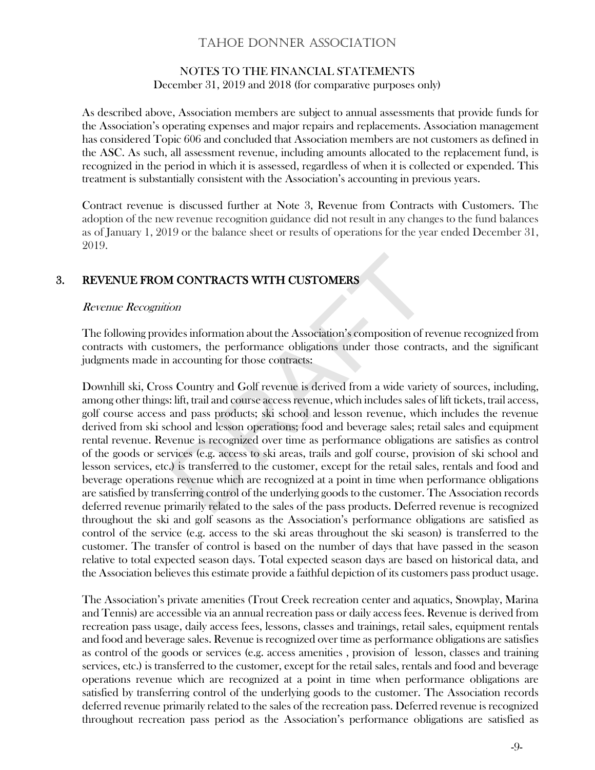#### NOTES TO THE FINANCIAL STATEMENTS December 31, 2019 and 2018 (for comparative purposes only)

As described above, Association members are subject to annual assessments that provide funds for the Association's operating expenses and major repairs and replacements. Association management has considered Topic 606 and concluded that Association members are not customers as defined in the ASC. As such, all assessment revenue, including amounts allocated to the replacement fund, is recognized in the period in which it is assessed, regardless of when it is collected or expended. This treatment is substantially consistent with the Association's accounting in previous years.

Contract revenue is discussed further at Note 3, Revenue from Contracts with Customers. The adoption of the new revenue recognition guidance did not result in any changes to the fund balances as of January 1, 2019 or the balance sheet or results of operations for the year ended December 31, 2019.

# 3. REVENUE FROM CONTRACTS WITH CUSTOMERS

#### Revenue Recognition

The following provides information about the Association's composition of revenue recognized from contracts with customers, the performance obligations under those contracts, and the significant judgments made in accounting for those contracts:

Downhill ski, Cross Country and Golf revenue is derived from a wide variety of sources, including, among other things: lift, trail and course access revenue, which includes sales of lift tickets, trail access, golf course access and pass products; ski school and lesson revenue, which includes the revenue derived from ski school and lesson operations; food and beverage sales; retail sales and equipment rental revenue. Revenue is recognized over time as performance obligations are satisfies as control of the goods or services (e.g. access to ski areas, trails and golf course, provision of ski school and lesson services, etc.) is transferred to the customer, except for the retail sales, rentals and food and beverage operations revenue which are recognized at a point in time when performance obligations are satisfied by transferring control of the underlying goods to the customer. The Association records deferred revenue primarily related to the sales of the pass products. Deferred revenue is recognized throughout the ski and golf seasons as the Association's performance obligations are satisfied as control of the service (e.g. access to the ski areas throughout the ski season) is transferred to the customer. The transfer of control is based on the number of days that have passed in the season relative to total expected season days. Total expected season days are based on historical data, and the Association believes this estimate provide a faithful depiction of its customers pass product usage. **M CONTRACTS WITH CUSTOMERS**<br>
ion<br>
vides information about the Association's composition of re<br>
tomers, the performance obligations under those contra<br>
accounting for those contracts:<br>
ss Country and Golf revenue is derive

The Association's private amenities (Trout Creek recreation center and aquatics, Snowplay, Marina and Tennis) are accessible via an annual recreation pass or daily access fees. Revenue is derived from recreation pass usage, daily access fees, lessons, classes and trainings, retail sales, equipment rentals and food and beverage sales. Revenue is recognized over time as performance obligations are satisfies as control of the goods or services (e.g. access amenities , provision of lesson, classes and training services, etc.) is transferred to the customer, except for the retail sales, rentals and food and beverage operations revenue which are recognized at a point in time when performance obligations are satisfied by transferring control of the underlying goods to the customer. The Association records deferred revenue primarily related to the sales of the recreation pass. Deferred revenue is recognized throughout recreation pass period as the Association's performance obligations are satisfied as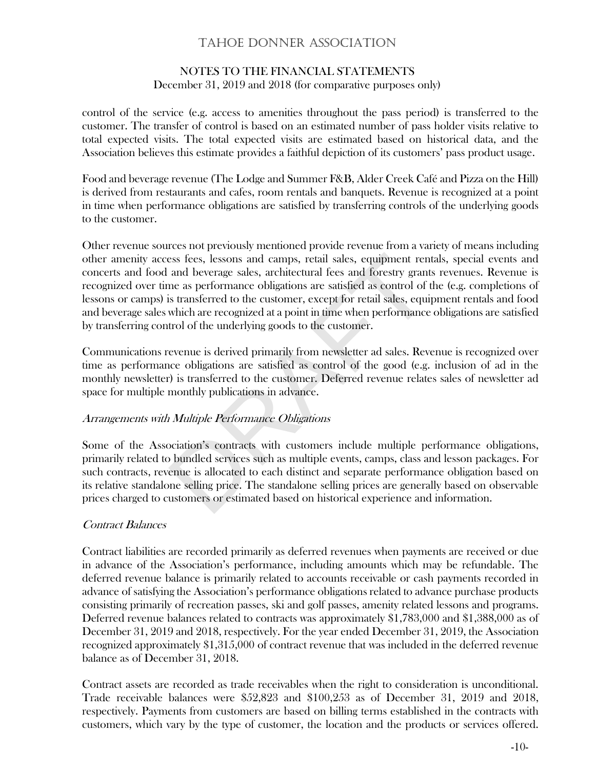# NOTES TO THE FINANCIAL STATEMENTS December 31, 2019 and 2018 (for comparative purposes only)

control of the service (e.g. access to amenities throughout the pass period) is transferred to the customer. The transfer of control is based on an estimated number of pass holder visits relative to total expected visits. The total expected visits are estimated based on historical data, and the Association believes this estimate provides a faithful depiction of its customers' pass product usage.

Food and beverage revenue (The Lodge and Summer F&B, Alder Creek Café and Pizza on the Hill) is derived from restaurants and cafes, room rentals and banquets. Revenue is recognized at a point in time when performance obligations are satisfied by transferring controls of the underlying goods to the customer.

Other revenue sources not previously mentioned provide revenue from a variety of means including other amenity access fees, lessons and camps, retail sales, equipment rentals, special events and concerts and food and beverage sales, architectural fees and forestry grants revenues. Revenue is recognized over time as performance obligations are satisfied as control of the (e.g. completions of lessons or camps) is transferred to the customer, except for retail sales, equipment rentals and food and beverage sales which are recognized at a point in time when performance obligations are satisfied by transferring control of the underlying goods to the customer. ess fees, lessons and camps, retail sales, equipment ren<br>and beverage sales, architectural fees and forestry grant<br>me as performance obligations are satisfied as control of t<br>is transferred to the customer, except for reta

Communications revenue is derived primarily from newsletter ad sales. Revenue is recognized over time as performance obligations are satisfied as control of the good (e.g. inclusion of ad in the monthly newsletter) is transferred to the customer. Deferred revenue relates sales of newsletter ad space for multiple monthly publications in advance.

# Arrangements with Multiple Performance Obligations

Some of the Association's contracts with customers include multiple performance obligations, primarily related to bundled services such as multiple events, camps, class and lesson packages. For such contracts, revenue is allocated to each distinct and separate performance obligation based on its relative standalone selling price. The standalone selling prices are generally based on observable prices charged to customers or estimated based on historical experience and information.

# Contract Balances

Contract liabilities are recorded primarily as deferred revenues when payments are received or due in advance of the Association's performance, including amounts which may be refundable. The deferred revenue balance is primarily related to accounts receivable or cash payments recorded in advance of satisfying the Association's performance obligations related to advance purchase products consisting primarily of recreation passes, ski and golf passes, amenity related lessons and programs. Deferred revenue balances related to contracts was approximately \$1,783,000 and \$1,388,000 as of December 31, 2019 and 2018, respectively. For the year ended December 31, 2019, the Association recognized approximately \$1,315,000 of contract revenue that was included in the deferred revenue balance as of December 31, 2018.

Contract assets are recorded as trade receivables when the right to consideration is unconditional. Trade receivable balances were \$52,823 and \$100,253 as of December 31, 2019 and 2018, respectively. Payments from customers are based on billing terms established in the contracts with customers, which vary by the type of customer, the location and the products or services offered.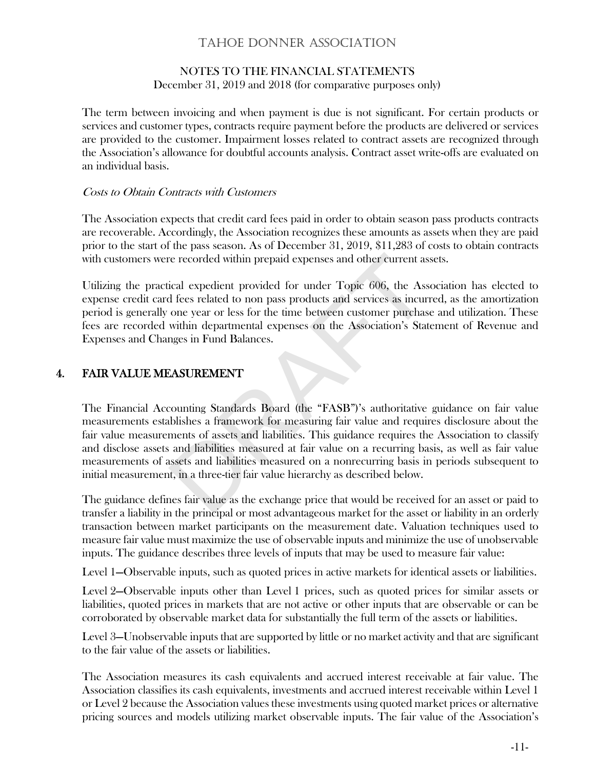# NOTES TO THE FINANCIAL STATEMENTS December 31, 2019 and 2018 (for comparative purposes only)

The term between invoicing and when payment is due is not significant. For certain products or services and customer types, contracts require payment before the products are delivered or services are provided to the customer. Impairment losses related to contract assets are recognized through the Association's allowance for doubtful accounts analysis. Contract asset write-offs are evaluated on an individual basis.

### Costs to Obtain Contracts with Customers

The Association expects that credit card fees paid in order to obtain season pass products contracts are recoverable. Accordingly, the Association recognizes these amounts as assets when they are paid prior to the start of the pass season. As of December 31, 2019, \$11,283 of costs to obtain contracts with customers were recorded within prepaid expenses and other current assets.

Utilizing the practical expedient provided for under Topic 606, the Association has elected to expense credit card fees related to non pass products and services as incurred, as the amortization period is generally one year or less for the time between customer purchase and utilization. These fees are recorded within departmental expenses on the Association's Statement of Revenue and Expenses and Changes in Fund Balances.

# 4. FAIR VALUE MEASUREMENT

The Financial Accounting Standards Board (the "FASB")'s authoritative guidance on fair value measurements establishes a framework for measuring fair value and requires disclosure about the fair value measurements of assets and liabilities. This guidance requires the Association to classify and disclose assets and liabilities measured at fair value on a recurring basis, as well as fair value measurements of assets and liabilities measured on a nonrecurring basis in periods subsequent to initial measurement, in a three-tier fair value hierarchy as described below. re recorded within prepaid expenses and other current associal expedient provided for under Topic 606, the Association's discussed fees related to non pass products and services as incurrence versus on the services as incu

The guidance defines fair value as the exchange price that would be received for an asset or paid to transfer a liability in the principal or most advantageous market for the asset or liability in an orderly transaction between market participants on the measurement date. Valuation techniques used to measure fair value must maximize the use of observable inputs and minimize the use of unobservable inputs. The guidance describes three levels of inputs that may be used to measure fair value:

Level 1—Observable inputs, such as quoted prices in active markets for identical assets or liabilities.

Level 2—Observable inputs other than Level 1 prices, such as quoted prices for similar assets or liabilities, quoted prices in markets that are not active or other inputs that are observable or can be corroborated by observable market data for substantially the full term of the assets or liabilities.

Level 3—Unobservable inputs that are supported by little or no market activity and that are significant to the fair value of the assets or liabilities.

The Association measures its cash equivalents and accrued interest receivable at fair value. The Association classifies its cash equivalents, investments and accrued interest receivable within Level 1 or Level 2 because the Association values these investments using quoted market prices or alternative pricing sources and models utilizing market observable inputs. The fair value of the Association's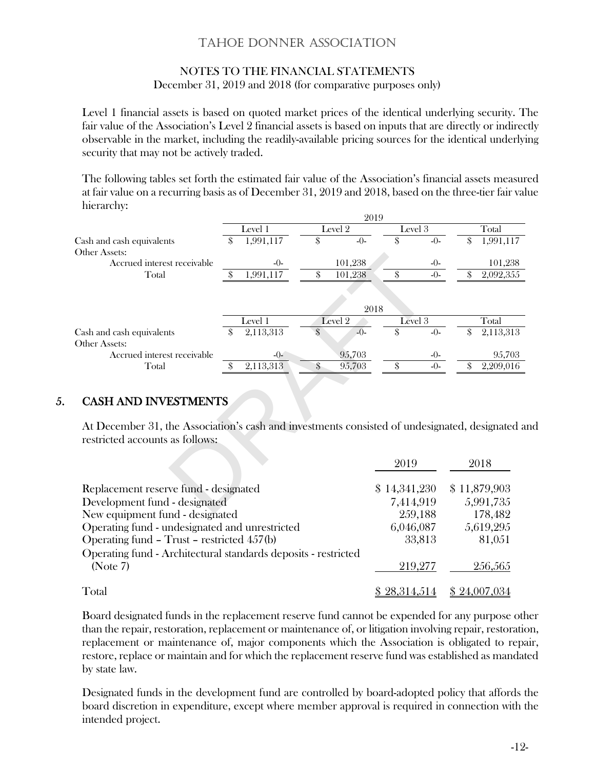## NOTES TO THE FINANCIAL STATEMENTS December 31, 2019 and 2018 (for comparative purposes only)

Level 1 financial assets is based on quoted market prices of the identical underlying security. The fair value of the Association's Level 2 financial assets is based on inputs that are directly or indirectly observable in the market, including the readily-available pricing sources for the identical underlying security that may not be actively traded.

The following tables set forth the estimated fair value of the Association's financial assets measured at fair value on a recurring basis as of December 31, 2019 and 2018, based on the three-tier fair value hierarchy:

|                                                                                                                                   |    |           |               | 2019               |         |              |           |  |
|-----------------------------------------------------------------------------------------------------------------------------------|----|-----------|---------------|--------------------|---------|--------------|-----------|--|
|                                                                                                                                   |    | Level 1   | Level 2       |                    | Level 3 |              | Total     |  |
| Cash and cash equivalents                                                                                                         | \$ | 1,991,117 | \$<br>$-0-$   | \$                 | $-0-$   |              | 1,991,117 |  |
| Other Assets:                                                                                                                     |    |           |               |                    |         |              |           |  |
| Accrued interest receivable                                                                                                       |    | $-()$     | 101,238       |                    | $-0-$   |              | 101,238   |  |
| Total                                                                                                                             | \$ | 1,991,117 | \$<br>101,238 | \$                 | $-()$   | \$           | 2,092,355 |  |
|                                                                                                                                   |    |           |               |                    |         |              |           |  |
|                                                                                                                                   |    | Level 1   | Level 2       | 2018               | Level 3 |              | Total     |  |
| Cash and cash equivalents                                                                                                         | S, | 2,113,313 | \$<br>$-()$   | \$                 | $-()$   | \$           | 2,113,313 |  |
| Other Assets:                                                                                                                     |    |           |               |                    |         |              |           |  |
| Accrued interest receivable                                                                                                       |    | $-0-$     | 95,703        |                    | $-0-$   |              | 95,703    |  |
| Total                                                                                                                             | \$ | 2,113,313 | \$<br>95,703  | \$                 | $-()$   | \$           | 2,209,016 |  |
| <b>CASH AND INVESTMENTS</b>                                                                                                       |    |           |               |                    |         |              |           |  |
| At December 31, the Association's cash and investments consisted of undesignated, designated a<br>restricted accounts as follows: |    |           |               |                    |         |              |           |  |
|                                                                                                                                   |    |           |               | 2019               |         |              | 2018      |  |
| Replacement reserve fund - designated                                                                                             |    |           |               | \$14,341,230       |         | \$11,879,903 |           |  |
| Development fund - designated                                                                                                     |    |           |               | 7,414,919          |         |              | 5,991,735 |  |
| Mary agustomaant fund - daardmatad -                                                                                              |    |           |               | 0.50100<br>170 400 |         |              |           |  |

# 5. CASH AND INVESTMENTS

|                                                                | 2019         | 2018         |
|----------------------------------------------------------------|--------------|--------------|
| Replacement reserve fund - designated                          | \$14,341,230 | \$11,879,903 |
| Development fund - designated                                  | 7,414,919    | 5,991,735    |
| New equipment fund - designated                                | 259,188      | 178,482      |
| Operating fund - undesignated and unrestricted                 | 6,046,087    | 5,619,295    |
| Operating fund – Trust – restricted 457(b)                     | 33,813       | 81,051       |
| Operating fund - Architectural standards deposits - restricted |              |              |
| (Note 7)                                                       | 219,277      | 256,565      |
| Total                                                          | \$28,314,5   | \$24,007,034 |

Board designated funds in the replacement reserve fund cannot be expended for any purpose other than the repair, restoration, replacement or maintenance of, or litigation involving repair, restoration, replacement or maintenance of, major components which the Association is obligated to repair, restore, replace or maintain and for which the replacement reserve fund was established as mandated by state law.

Designated funds in the development fund are controlled by board-adopted policy that affords the board discretion in expenditure, except where member approval is required in connection with the intended project.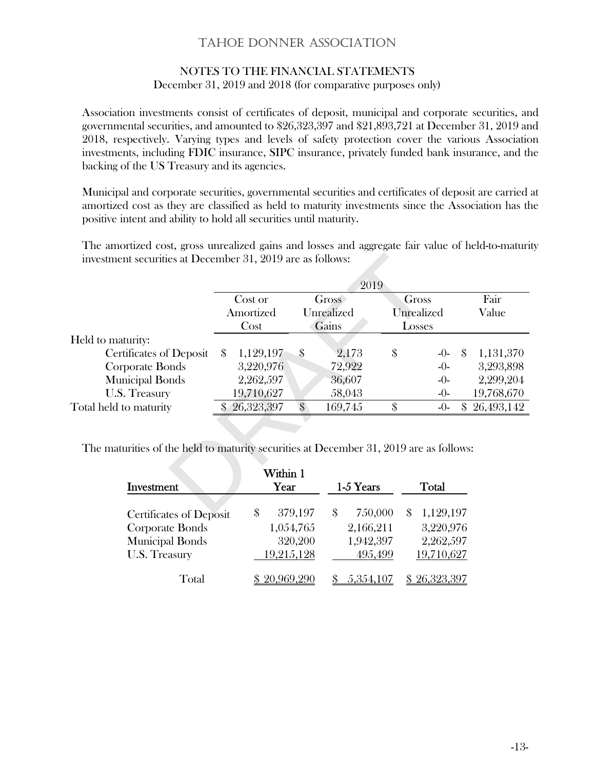## NOTES TO THE FINANCIAL STATEMENTS December 31, 2019 and 2018 (for comparative purposes only)

Association investments consist of certificates of deposit, municipal and corporate securities, and governmental securities, and amounted to \$26,323,397 and \$21,893,721 at December 31, 2019 and 2018, respectively. Varying types and levels of safety protection cover the various Association investments, including FDIC insurance, SIPC insurance, privately funded bank insurance, and the backing of the US Treasury and its agencies.

Municipal and corporate securities, governmental securities and certificates of deposit are carried at amortized cost as they are classified as held to maturity investments since the Association has the positive intent and ability to hold all securities until maturity.

The amortized cost, gross unrealized gains and losses and aggregate fair value of held-to-maturity investment securities at December 31, 2019 are as follows:

|                                                                                        |                 |               | 2019       |    |            |                 |            |  |  |  |  |
|----------------------------------------------------------------------------------------|-----------------|---------------|------------|----|------------|-----------------|------------|--|--|--|--|
|                                                                                        | Cost or         |               | Gross      |    | Gross      |                 | Fair       |  |  |  |  |
|                                                                                        | Amortized       |               | Unrealized |    | Unrealized |                 | Value      |  |  |  |  |
|                                                                                        | Cost            |               | Gains      |    | Losses     |                 |            |  |  |  |  |
| Held to maturity:                                                                      |                 |               |            |    |            |                 |            |  |  |  |  |
| Certificates of Deposit                                                                | 1,129,197<br>\$ | \$            | 2,173      | \$ | $-0$ -     | - \$            | 1,131,370  |  |  |  |  |
| Corporate Bonds                                                                        | 3,220,976       |               | 72,922     |    | $-0-$      |                 | 3,293,898  |  |  |  |  |
| <b>Municipal Bonds</b>                                                                 | 2,262,597       |               | 36,607     |    | $-0$       |                 | 2,299,204  |  |  |  |  |
| <b>U.S. Treasury</b>                                                                   | 19,710,627      |               | 58,043     |    | $-0-$      |                 | 19,768,670 |  |  |  |  |
| Total held to maturity                                                                 | \$26,323,397    | $\mathcal{S}$ | 169,745    | \$ | $-0-$      | $\mathcal{S}^-$ | 26,493,142 |  |  |  |  |
| The maturities of the held to maturity securities at December 31, 2019 are as follows: |                 |               |            |    |            |                 |            |  |  |  |  |
|                                                                                        | Within 1        |               |            |    |            |                 |            |  |  |  |  |
| Investment                                                                             | Year            |               | 1-5 Years  |    | Total      |                 |            |  |  |  |  |

| Investment                     | Within 1<br>Year | 1-5 Years | Total        |  |  |  |
|--------------------------------|------------------|-----------|--------------|--|--|--|
| <b>Certificates of Deposit</b> | 379,197<br>S     | 750,000   | 1,129,197    |  |  |  |
| Corporate Bonds                | 1,054,765        | 2,166,211 | 3,220,976    |  |  |  |
| <b>Municipal Bonds</b>         | 320,200          | 1,942,397 | 2,262,597    |  |  |  |
| <b>U.S. Treasury</b>           | 19,215,128       | 495,499   | 19,710,627   |  |  |  |
| Total                          | 20,969,290       | 5,354,107 | \$26,323,397 |  |  |  |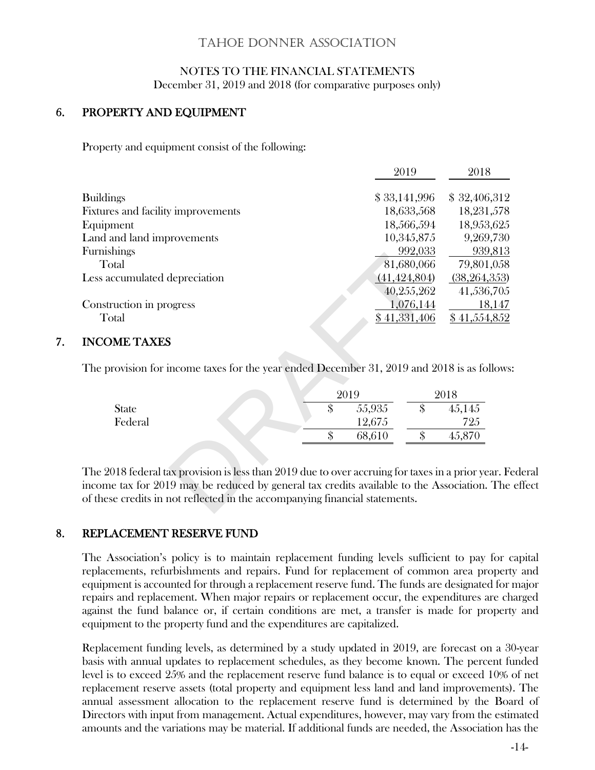### NOTES TO THE FINANCIAL STATEMENTS December 31, 2019 and 2018 (for comparative purposes only)

# 6. PROPERTY AND EQUIPMENT

Property and equipment consist of the following:

|                                                                                                                                                                                                                                                                                   |              | 2019           | 2018           |
|-----------------------------------------------------------------------------------------------------------------------------------------------------------------------------------------------------------------------------------------------------------------------------------|--------------|----------------|----------------|
| <b>Buildings</b>                                                                                                                                                                                                                                                                  |              | \$33,141,996   | \$32,406,312   |
| Fixtures and facility improvements                                                                                                                                                                                                                                                |              | 18,633,568     | 18,231,578     |
| Equipment                                                                                                                                                                                                                                                                         |              | 18,566,594     | 18,953,625     |
| Land and land improvements                                                                                                                                                                                                                                                        |              | 10,345,875     | 9,269,730      |
| Furnishings                                                                                                                                                                                                                                                                       |              | 992,033        | 939,813        |
| Total                                                                                                                                                                                                                                                                             |              | 81,680,066     | 79,801,058     |
| Less accumulated depreciation                                                                                                                                                                                                                                                     |              | (41, 424, 804) | (38, 264, 353) |
|                                                                                                                                                                                                                                                                                   |              | 40,255,262     | 41,536,705     |
| Construction in progress                                                                                                                                                                                                                                                          |              | 1,076,144      | <u>18,147</u>  |
| Total                                                                                                                                                                                                                                                                             |              | \$41,331,406   | \$41,554,852   |
| <b>INCOME TAXES</b><br>The provision for income taxes for the year ended December 31, 2019 and 2018 is as follows                                                                                                                                                                 |              |                |                |
|                                                                                                                                                                                                                                                                                   | 2019         |                | 2018           |
| <b>State</b>                                                                                                                                                                                                                                                                      | \$<br>55,935 | $\mathcal{S}$  | 45,145         |
| Federal                                                                                                                                                                                                                                                                           | 12,675       |                | 725            |
|                                                                                                                                                                                                                                                                                   | \$<br>68,610 | \$             | 45,870         |
| The 2018 federal tax provision is less than 2019 due to over accruing for taxes in a prior year. Fo<br>income tax for 2019 may be reduced by general tax credits available to the Association. The<br>of these credits in not reflected in the accompanying financial statements. |              |                |                |

## 7. INCOME TAXES

|              |  | 2019   | 2018 |        |  |  |
|--------------|--|--------|------|--------|--|--|
| <b>State</b> |  | 55,935 |      | 45,145 |  |  |
| Federal      |  | 12,675 |      | 725    |  |  |
|              |  | 68,610 |      | 45,870 |  |  |

The 2018 federal tax provision is less than 2019 due to over accruing for taxes in a prior year. Federal income tax for 2019 may be reduced by general tax credits available to the Association. The effect of these credits in not reflected in the accompanying financial statements.

# 8. REPLACEMENT RESERVE FUND

The Association's policy is to maintain replacement funding levels sufficient to pay for capital replacements, refurbishments and repairs. Fund for replacement of common area property and equipment is accounted for through a replacement reserve fund. The funds are designated for major repairs and replacement. When major repairs or replacement occur, the expenditures are charged against the fund balance or, if certain conditions are met, a transfer is made for property and equipment to the property fund and the expenditures are capitalized.

Replacement funding levels, as determined by a study updated in 2019, are forecast on a 30-year basis with annual updates to replacement schedules, as they become known. The percent funded level is to exceed 25% and the replacement reserve fund balance is to equal or exceed 10% of net replacement reserve assets (total property and equipment less land and land improvements). The annual assessment allocation to the replacement reserve fund is determined by the Board of Directors with input from management. Actual expenditures, however, may vary from the estimated amounts and the variations may be material. If additional funds are needed, the Association has the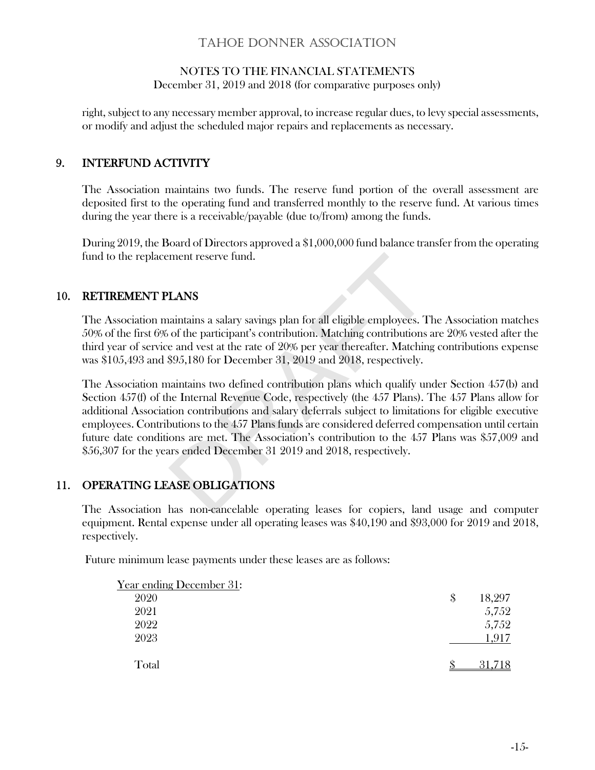### NOTES TO THE FINANCIAL STATEMENTS December 31, 2019 and 2018 (for comparative purposes only)

right, subject to any necessary member approval, to increase regular dues, to levy special assessments, or modify and adjust the scheduled major repairs and replacements as necessary.

# 9. INTERFUND ACTIVITY

The Association maintains two funds. The reserve fund portion of the overall assessment are deposited first to the operating fund and transferred monthly to the reserve fund. At various times during the year there is a receivable/payable (due to/from) among the funds.

During 2019, the Board of Directors approved a \$1,000,000 fund balance transfer from the operating fund to the replacement reserve fund.

# 10. RETIREMENT PLANS

The Association maintains a salary savings plan for all eligible employees. The Association matches 50% of the first 6% of the participant's contribution. Matching contributions are 20% vested after the third year of service and vest at the rate of 20% per year thereafter. Matching contributions expense was \$105,493 and \$95,180 for December 31, 2019 and 2018, respectively.

The Association maintains two defined contribution plans which qualify under Section 457(b) and Section 457(f) of the Internal Revenue Code, respectively (the 457 Plans). The 457 Plans allow for additional Association contributions and salary deferrals subject to limitations for eligible executive employees. Contributions to the 457 Plans funds are considered deferred compensation until certain future date conditions are met. The Association's contribution to the 457 Plans was \$57,009 and \$56,307 for the years ended December 31 2019 and 2018, respectively. **TANS**<br> **PLANS**<br> **PLANS**<br> **PLANS**<br> **PLANS**<br> **PLANS**<br> **PLANS**<br> **PLANS**<br> **PLANS**<br> **PLANS**<br> **PLANS**<br> **PLANS**<br> **PLANS**<br> **PLANS**<br> **PLANS**<br> **PLANS**<br> **PLANS**<br> **PLANS**<br> **PLANS**<br> **PLANS**<br> **PLANS**<br> **PLANS**<br> **PLANS**<br> **PLANS**<br> **PLANS** 

# 11. OPERATING LEASE OBLIGATIONS

The Association has non-cancelable operating leases for copiers, land usage and computer equipment. Rental expense under all operating leases was \$40,190 and \$93,000 for 2019 and 2018, respectively.

Future minimum lease payments under these leases are as follows:

| Year ending December 31: |              |
|--------------------------|--------------|
| 2020                     | 18,297<br>\$ |
| 2021                     | 5,752        |
| 2022                     | 5,752        |
| 2023                     | 1,917        |
|                          |              |
| Total                    | 31 718       |
|                          |              |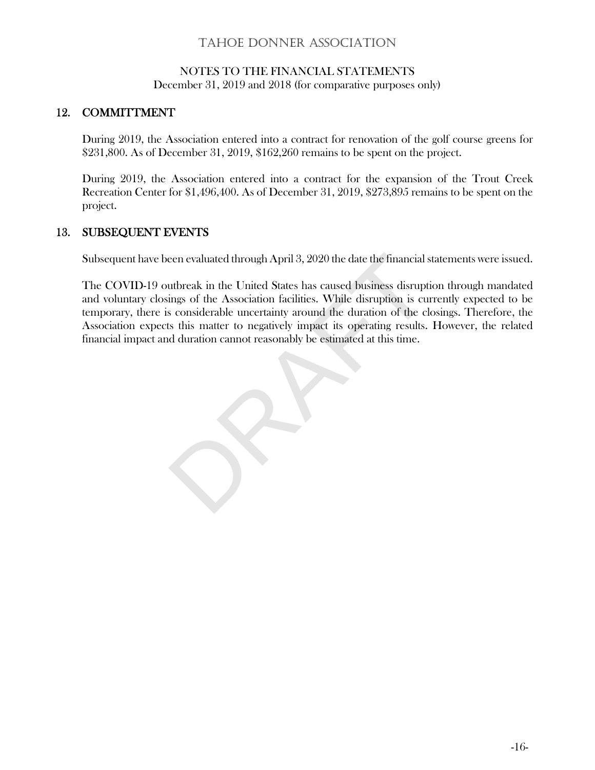### NOTES TO THE FINANCIAL STATEMENTS December 31, 2019 and 2018 (for comparative purposes only)

# 12. COMMITTMENT

During 2019, the Association entered into a contract for renovation of the golf course greens for \$231,800. As of December 31, 2019, \$162,260 remains to be spent on the project.

During 2019, the Association entered into a contract for the expansion of the Trout Creek Recreation Center for \$1,496,400. As of December 31, 2019, \$273,895 remains to be spent on the project.

#### 13. SUBSEQUENT EVENTS

Subsequent have been evaluated through April 3, 2020 the date the financial statements were issued.

The COVID-19 outbreak in the United States has caused business disruption through mandated and voluntary closings of the Association facilities. While disruption is currently expected to be temporary, there is considerable uncertainty around the duration of the closings. Therefore, the Association expects this matter to negatively impact its operating results. However, the related financial impact and duration cannot reasonably be estimated at this time.

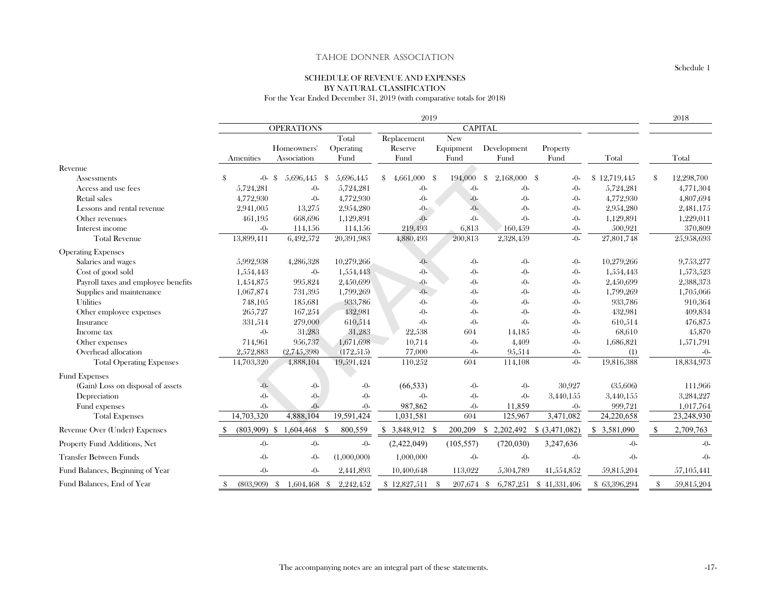#### SCHEDULE OF REVENUE AND EXPENSES BY NATURAL CLASSIFICATION

For the Year Ended December 31, 2019 (with comparative totals for 2018)

|                                     | 2019                     |                   |                  |                    |                   |                    |                        |              |     |            |  |
|-------------------------------------|--------------------------|-------------------|------------------|--------------------|-------------------|--------------------|------------------------|--------------|-----|------------|--|
|                                     |                          | <b>OPERATIONS</b> |                  |                    | <b>CAPITAL</b>    |                    |                        |              |     |            |  |
|                                     |                          |                   | Total            | Replacement        | <b>New</b>        |                    |                        |              |     |            |  |
|                                     |                          | Homeowners'       | Operating        | Reserve            | Equipment         | Development        | Property               |              |     |            |  |
|                                     | Amenities                | Association       | Fund             | Fund               | Fund              | Fund               | Fund                   | Total        |     | Total      |  |
| Revenue                             |                          |                   |                  |                    |                   |                    |                        |              |     |            |  |
| <b>Assessments</b>                  | $-0-$<br>-S<br>ς         | 5,696,445         | 5,696,445<br>-\$ | \$<br>4,661,000 \$ | 194,000           | 2,168,000 \$<br>-S | $-()$                  | \$12,719,445 | \$  | 12,298,700 |  |
| Access and use fees                 | 5,724,281                | $-0-$             | 5,724,281        | $-0-$              | $-()$ -           | $-0-$              | $-0-$                  | 5,724,281    |     | 4,771,304  |  |
| Retail sales                        | 4,772,930                | $-0-$             | 4,772,930        | $-()$              | $-0-$             | $-()$              | $-()$ -                | 4,772,930    |     | 4,807,694  |  |
| Lessons and rental revenue          | 2,941,005                | 13,275            | 2,954,280        | $-0-$              | $-0-$             | $-()$              | $-()$ -                | 2,954,280    |     | 2,481,175  |  |
| Other revenues                      | 461,195                  | 668,696           | 1,129,891        | $-()$ -            | $-()$             | $-()$              | $-()$ -                | 1,129,891    |     | 1,229,011  |  |
| Interest income                     | $-0-$                    | 114,156           | 114,156          | 219,493            | 6,813             | 160,459            | $-0-$                  | 500,921      |     | 370,809    |  |
| <b>Total Revenue</b>                | 13,899,411               | 6,492,572         | 20,391,983       | 4,880,493          | 200,813           | 2,328,459          | $-()$                  | 27,801,748   |     | 25,958,693 |  |
| <b>Operating Expenses</b>           |                          |                   |                  |                    |                   |                    |                        |              |     |            |  |
| Salaries and wages                  | 5,992,938                | 4,286,328         | 10,279,266       | $-()$ -            | $-0-$             | $-0-$              | $-()$                  | 10,279,266   |     | 9,753,277  |  |
| Cost of good sold                   | 1,554,443                | $-0-$             | 1,554,443        | $-0$               | $-0-$             | $-0-$              | $-0-$                  | 1,554,443    |     | 1,573,523  |  |
| Payroll taxes and employee benefits | 1,454,875                | 995,824           | 2,450,699        | $-0-$              | $-0-$             | $-0-$              | $-0-$                  | 2,450,699    |     | 2,388,373  |  |
| Supplies and maintenance            | 1,067,874                | 731,395           | 1,799,269        | $-()$ -            | $-()$             | $-()$              | $-()$                  | 1,799,269    |     | 1,705,066  |  |
| <b>Utilities</b>                    | 748,105                  | 185,681           | 933,786          | $-()$ -            | $-()$ -           | $-()$              | $-()$                  | 933,786      |     | 910,364    |  |
| Other employee expenses             | 265,727                  | 167,254           | 432,981          | $-()$ -            | $-()$ -           | $-()$              | $-()$                  | 432,981      |     | 409,834    |  |
| Insurance                           | 331,514                  | 279,000           | 610,514          | $-()$              | $-0-$             | $-()$              | $-()$                  | 610,514      |     | 476,875    |  |
| Income tax                          | $-()$                    | 31,283            | 31,283           | 22,538             | 604               | 14,185             | $-()$                  | 68,610       |     | 45,870     |  |
| Other expenses                      | 714,961                  | 956,737           | 1,671,698        | 10,714             | $-0-$             | 4,409              | $-0-$                  | 1,686,821    |     | 1,571,791  |  |
| Overhead allocation                 | 2,572,883                | (2,745,398)       | (172, 515)       | 77,000             | $-0-$             | 95,514             | $-0-$                  | (1)          |     | $-0-$      |  |
| <b>Total Operating Expenses</b>     | 14,703,320               | 4,888,104         | 19,591,424       | 110,252            | 604               | 114,108            | $-()$                  | 19,816,388   |     | 18,834,973 |  |
| <b>Fund Expenses</b>                |                          |                   |                  |                    |                   |                    |                        |              |     |            |  |
| (Gain) Loss on disposal of assets   | $-0-$                    | $-0-$             | $-0-$            | (66, 533)          | $-0-$             | $-0-$              | 30,927                 | (35,606)     |     | 111,966    |  |
| Depreciation                        | $-()$                    | $-0-$             | $-0-$            | $-()$ -            | $-0-$             | $-0-$              | 3,440,155              | 3,440,155    |     | 3,284,227  |  |
| Fund expenses                       | $-0-$                    | $-()$ -           | $-0-$            | 987,862            | $-0-$             | 11,859             | $-0-$                  | 999,721      |     | 1,017,764  |  |
| <b>Total Expenses</b>               | 14,703,320               | 4,888,104         | 19,591,424       | 1,031,581          | 604               | 125,967            | 3,471,082              | 24,220,658   |     | 23,248,930 |  |
| Revenue Over (Under) Expenses       | $(803,909)$ \$<br>S      | 1,604,468         | 800,559<br>-S    | \$3,848,912        | 200,209<br>-S     | 2,202,492<br>S     | \$ (3,471,082)         | \$3,581,090  | \$. | 2,709,763  |  |
| Property Fund Additions, Net        | $-0-$                    | $-0-$             | $-0-$            | (2,422,049)        | (105, 557)        | (720, 030)         | 3,247,636              | $-0-$        |     | $-0-$      |  |
| <b>Transfer Between Funds</b>       | $-0-$                    | $-0-$             | (1,000,000)      | 1,000,000          | $-0-$             | $-0-$              | $-()$                  | $-0-$        |     | $-()$      |  |
| Fund Balances, Beginning of Year    | $-()$                    | $-0-$             | 2,441,893        | 10,400,648         | 113,022           | 5,304,789          | 41,554,852             | 59,815,204   |     | 57,105,441 |  |
| Fund Balances, End of Year          | (803,909)<br>\$.<br>- \$ | 1,604,468 \$      | 2,242,452        | \$12,827,511       | -\$<br>207,674 \$ |                    | 6,787,251 \$41,331,406 | \$63,396,294 | \$  | 59,815,204 |  |

Schedule 1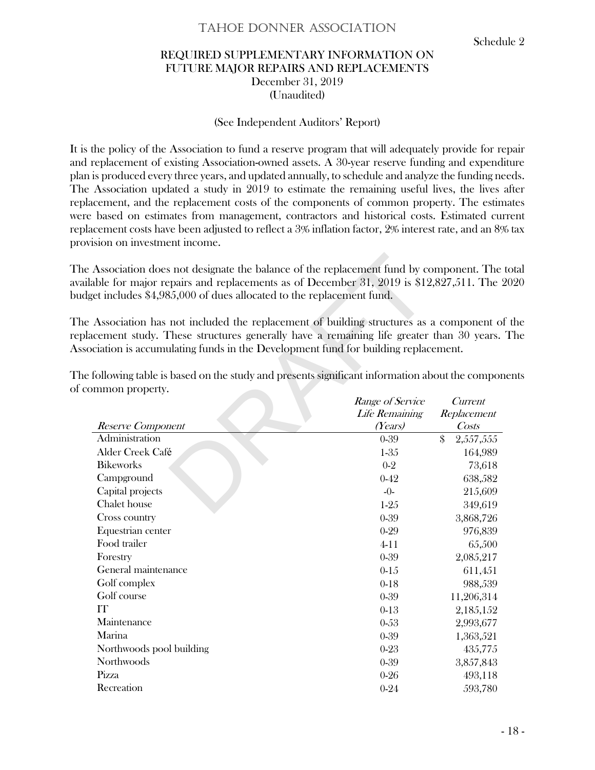Schedule 2

### REQUIRED SUPPLEMENTARY INFORMATION ON FUTURE MAJOR REPAIRS AND REPLACEMENTS December 31, 2019 (Unaudited)

#### (See Independent Auditors' Report)

It is the policy of the Association to fund a reserve program that will adequately provide for repair and replacement of existing Association-owned assets. A 30-year reserve funding and expenditure plan is produced every three years, and updated annually, to schedule and analyze the funding needs. The Association updated a study in 2019 to estimate the remaining useful lives, the lives after replacement, and the replacement costs of the components of common property. The estimates were based on estimates from management, contractors and historical costs. Estimated current replacement costs have been adjusted to reflect a 3% inflation factor, 2% interest rate, and an 8% tax provision on investment income.

The Association does not designate the balance of the replacement fund by component. The total available for major repairs and replacements as of December 31, 2019 is \$12,827,511. The 2020 budget includes \$4,985,000 of dues allocated to the replacement fund.

The Association has not included the replacement of building structures as a component of the replacement study. These structures generally have a remaining life greater than 30 years. The Association is accumulating funds in the Development fund for building replacement.

The following table is based on the study and presents significant information about the components of common property. Range of Service Current

| Association does not designate the balance of the replacement fund by component. The<br>able for major repairs and replacements as of December 31, 2019 is \$12,827,511. The<br>et includes \$4,985,000 of dues allocated to the replacement fund.               |                  |                 |
|------------------------------------------------------------------------------------------------------------------------------------------------------------------------------------------------------------------------------------------------------------------|------------------|-----------------|
| Association has not included the replacement of building structures as a component o<br>cement study. These structures generally have a remaining life greater than 30 years.<br>ciation is accumulating funds in the Development fund for building replacement. |                  |                 |
| following table is based on the study and presents significant information about the compor                                                                                                                                                                      |                  |                 |
| mmon property.                                                                                                                                                                                                                                                   |                  |                 |
|                                                                                                                                                                                                                                                                  | Range of Service | Current         |
|                                                                                                                                                                                                                                                                  | Life Remaining   | Replacement     |
| <b>Reserve Component</b>                                                                                                                                                                                                                                         | (Years)          | Costs           |
| Administration                                                                                                                                                                                                                                                   | $0 - 39$         | \$<br>2,557,555 |
| Alder Creek Café                                                                                                                                                                                                                                                 | $1 - 35$         | 164,989         |
| <b>Bikeworks</b>                                                                                                                                                                                                                                                 | $0-2$            | 73,618          |
| Campground                                                                                                                                                                                                                                                       | $0 - 42$         | 638,582         |
| Capital projects                                                                                                                                                                                                                                                 | $-0-$            | 215,609         |
| Chalet house                                                                                                                                                                                                                                                     | $1-25$           | 349,619         |
| Cross country                                                                                                                                                                                                                                                    | $0 - 39$         | 3,868,726       |
| Equestrian center                                                                                                                                                                                                                                                | $0 - 29$         | 976,839         |
| Food trailer                                                                                                                                                                                                                                                     | $4 - 11$         | 65,500          |
| Forestry                                                                                                                                                                                                                                                         | $0 - 39$         | 2,085,217       |
| General maintenance                                                                                                                                                                                                                                              | $0 - 15$         | 611,451         |
| Golf complex                                                                                                                                                                                                                                                     | $0 - 18$         | 988,539         |
| Golf course                                                                                                                                                                                                                                                      | $0 - 39$         | 11,206,314      |
| IT                                                                                                                                                                                                                                                               | $0 - 13$         | 2,185,152       |
| Maintenance                                                                                                                                                                                                                                                      | $0 - 53$         | 2,993,677       |
| Marina                                                                                                                                                                                                                                                           | $0 - 39$         | 1,363,521       |
| Northwoods pool building                                                                                                                                                                                                                                         | $0 - 23$         | 435,775         |
| Northwoods                                                                                                                                                                                                                                                       | $0 - 39$         | 3,857,843       |
| Pizza                                                                                                                                                                                                                                                            | $0 - 26$         | 493,118         |
| Recreation                                                                                                                                                                                                                                                       | $0 - 24$         | 593,780         |
|                                                                                                                                                                                                                                                                  |                  |                 |